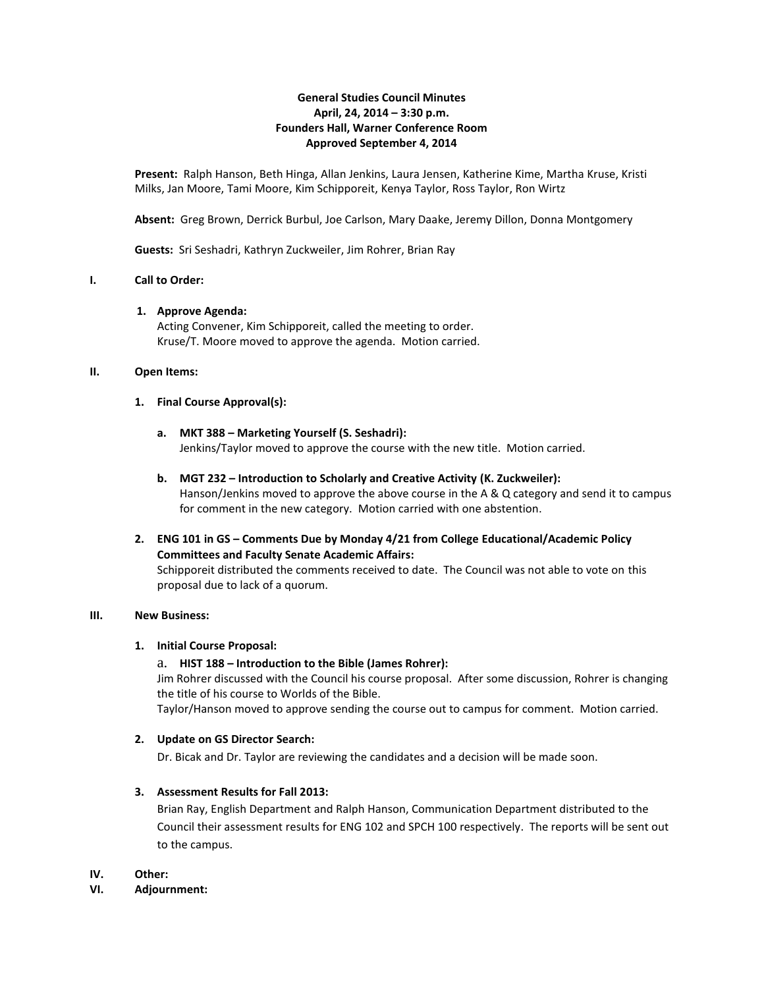# **General Studies Council Minutes April, 24, 2014 – 3:30 p.m. Founders Hall, Warner Conference Room Approved September 4, 2014**

**Present:** Ralph Hanson, Beth Hinga, Allan Jenkins, Laura Jensen, Katherine Kime, Martha Kruse, Kristi Milks, Jan Moore, Tami Moore, Kim Schipporeit, Kenya Taylor, Ross Taylor, Ron Wirtz

**Absent:** Greg Brown, Derrick Burbul, Joe Carlson, Mary Daake, Jeremy Dillon, Donna Montgomery

**Guests:** Sri Seshadri, Kathryn Zuckweiler, Jim Rohrer, Brian Ray

# **I. Call to Order:**

#### **1. Approve Agenda:**

Acting Convener, Kim Schipporeit, called the meeting to order. Kruse/T. Moore moved to approve the agenda. Motion carried.

#### **II. Open Items:**

#### **1. Final Course Approval(s):**

- **a. MKT 388 – Marketing Yourself (S. Seshadri):** Jenkins/Taylor moved to approve the course with the new title. Motion carried.
- **b. MGT 232 – Introduction to Scholarly and Creative Activity (K. Zuckweiler):** Hanson/Jenkins moved to approve the above course in the A & Q category and send it to campus for comment in the new category. Motion carried with one abstention.
- **2. ENG 101 in GS – Comments Due by Monday 4/21 from College Educational/Academic Policy Committees and Faculty Senate Academic Affairs:** Schipporeit distributed the comments received to date. The Council was not able to vote on this proposal due to lack of a quorum.

#### **III. New Business:**

# **1. Initial Course Proposal:**

# a. **HIST 188 – Introduction to the Bible (James Rohrer):**

Jim Rohrer discussed with the Council his course proposal. After some discussion, Rohrer is changing the title of his course to Worlds of the Bible.

Taylor/Hanson moved to approve sending the course out to campus for comment. Motion carried.

# **2. Update on GS Director Search:**

Dr. Bicak and Dr. Taylor are reviewing the candidates and a decision will be made soon.

# **3. Assessment Results for Fall 2013:**

Brian Ray, English Department and Ralph Hanson, Communication Department distributed to the Council their assessment results for ENG 102 and SPCH 100 respectively. The reports will be sent out to the campus.

#### **IV. Other:**

#### **VI. Adjournment:**